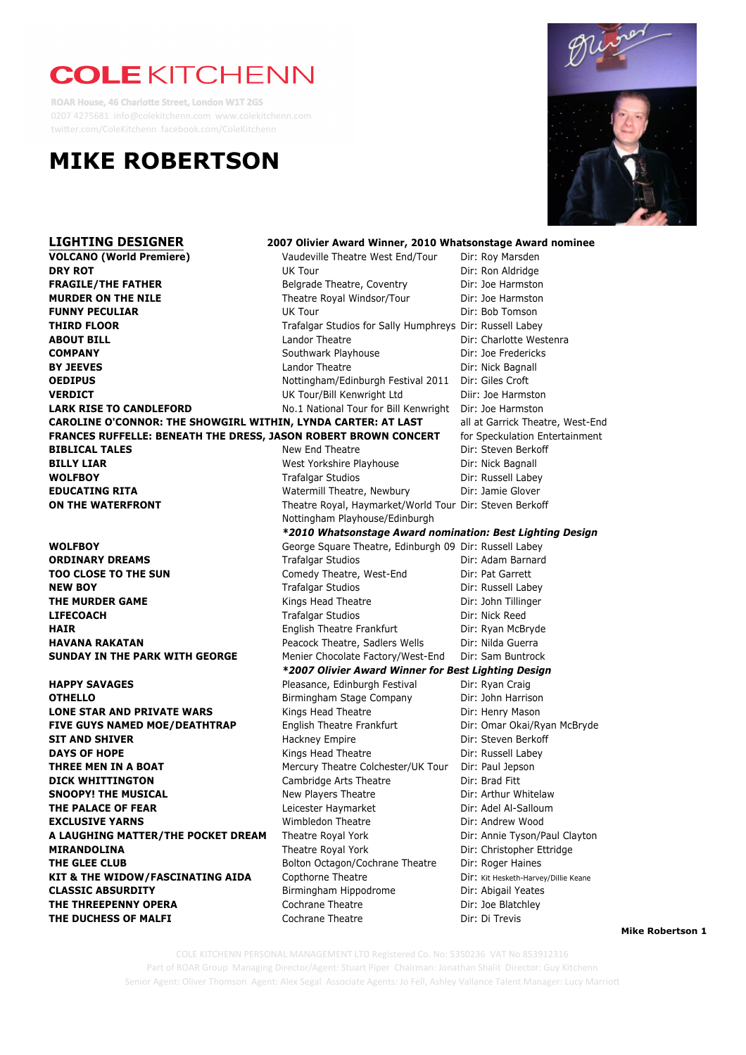# **COLE KITCHENN**

**ROAR House, 46 Charlotte Street, London W1T 2GS** 0207 4275681 info@colekitchenn.com www.colekitchenn.com twitter.com/ColeKitchenn facebook.com/ColeKitchenn

## **MIKE ROBERTSON**



**LIGHTING DESIGNER 2007 Olivier Award Winner, 2010 Whatsonstage Award nominee VOLCANO (World Premiere)** Vaudeville Theatre West End/Tour Dir: Roy Marsden **DRY ROT** DIRECT **DRY ROT** DIRECT **DRY ROT FRAGILE/THE FATHER Belgrade Theatre, Coventry** Dir: Joe Harmston **MURDER ON THE NILE** Theatre Royal Windsor/Tour Dir: Joe Harmston **FUNNY PECULIAR EXAMPLE OF A SET OF A UK Tour** UK Tour **Dir: Bob Tomson THIRD FLOOR** Trafalgar Studios for Sally Humphreys Dir: Russell Labey **COMPANY** Southwark Playhouse Dir: Joe Fredericks **BY JEEVES** Landor Theatre **Dir: Nick Bagnall OEDIPUS** Nottingham/Edinburgh Festival 2011 Dir: Giles Croft **VERDICT** UK Tour/Bill Kenwright Ltd Diir: Joe Harmston **LARK RISE TO CANDLEFORD** No.1 National Tour for Bill Kenwright Dir: Joe Harmston **BILLY LIAR BILLY LIAR BILLY LIAR West Yorkshire Playhouse** Dir: Nick Bagnall **WOLFBOY Trafalgar Studios Dir: Russell Labey WOLFBOY EDUCATING RITA** Watermill Theatre, Newbury Dir: Jamie Glover

**THE DUCHESS OF MALFI** Cochrane Theatre **Dirichlerity** Dir: Di Trevis

**ABOUT BILL** Landor Theatre Dir: Charlotte Westenra **CAROLINE O'CONNOR: THE SHOWGIRL WITHIN, LYNDA CARTER: AT LAST** all at Garrick Theatre, West-End **FRANCES RUFFELLE: BENEATH THE DRESS, JASON ROBERT BROWN CONCERT** for Speckulation Entertainment **BIBLICAL TALES** New End Theatre **Dir: Steven Berkoff ON THE WATERFRONT** Theatre Royal, Haymarket/World Tour Dir: Steven Berkoff Nottingham Playhouse/Edinburgh *\*2010 Whatsonstage Award nomination: Best Lighting Design* **WOLFBOY** George Square Theatre, Edinburgh 09 Dir: Russell Labey **ORDINARY DREAMS** Trafalgar Studios Dir: Adam Barnard Dir: Adam Barnard **TOO CLOSE TO THE SUN** Comedy Theatre, West-End Dir: Pat Garrett **NEW BOY Trafalgar Studios Dir: Russell Labev NEW BOY THE MURDER GAME Kings Head Theatre Dir: John Tillinger LIFECOACH** Trafalgar Studios Dir: Nick Reed **HAIR English Theatre Frankfurt** Dir: Ryan McBryde **HAVANA RAKATAN Peacock Theatre, Sadlers Wells** Dir: Nilda Guerra **SUNDAY IN THE PARK WITH GEORGE** Menier Chocolate Factory/West-End Dir: Sam Buntrock *\*2007 Olivier Award Winner for Best Lighting Design* **HAPPY SAVAGES** Pleasance, Edinburgh Festival Dir: Ryan Craig **OTHELLO Birmingham Stage Company** Dir: John Harrison **LONE STAR AND PRIVATE WARS** Kings Head Theatre **Dir: Henry Mason FIVE GUYS NAMED MOE/DEATHTRAP** English Theatre Frankfurt **English Theatre Frankfurt** Dir: Omar Okai/Ryan McBryde **SIT AND SHIVER SIT AND SHIVER Hackney Empire Dir: Steven Berkoff DAYS OF HOPE Example 20 Interval 20 Interval 20 Interval 20 Interval 20 Interval 20 Interval 20 Interval 20 Interval 20 Interval 20 Interval 20 Interval 20 Interval 20 Interval 20 Interval 20 Interval 20 Interval 20 Int THREE MEN IN A BOAT** Mercury Theatre Colchester/UK Tour Dir: Paul Jepson **DICK WHITTINGTON** Cambridge Arts Theatre Dir: Brad Fitt **SNOOPY! THE MUSICAL** New Players Theatre Dir: Arthur Whitelaw **THE PALACE OF FEAR Leicester Haymarket** Dir: Adel Al-Salloum **EXCLUSIVE YARNS** The Mimbledon Theatre Theatre Dir: Andrew Wood **A LAUGHING MATTER/THE POCKET DREAM** Theatre Royal York Dir: Annie Tyson/Paul Clayton **MIRANDOLINA** Theatre Royal York Dir: Christopher Ettridge **THE GLEE CLUB** Bolton Octagon/Cochrane Theatre Dir: Roger Haines KIT & THE WIDOW/FASCINATING AIDA Copthorne Theatre **Dir: Kit Hesketh-Harvey/Dillie Keane CLASSIC ABSURDITY** Birmingham Hippodrome Dir: Abigail Yeates **THE THREEPENNY OPERA** Cochrane Theatre **Dir:** Joe Blatchley

#### **Mike Robertson 1**

Senior Agent: Oliver Thomson Agent: Alex Segal Associate Agents: Jo Fell, Ashley Vallance Talent Manager: Lucy Marriott COLE KITCHENN PERSONAL MANAGEMENT LTD Registered Co. No: 5350236 VAT No 853912316 Part of ROAR Group Managing Director/Agent: Stuart Piper Chairman: Jonathan Shalit Director: Guy Kitchenn